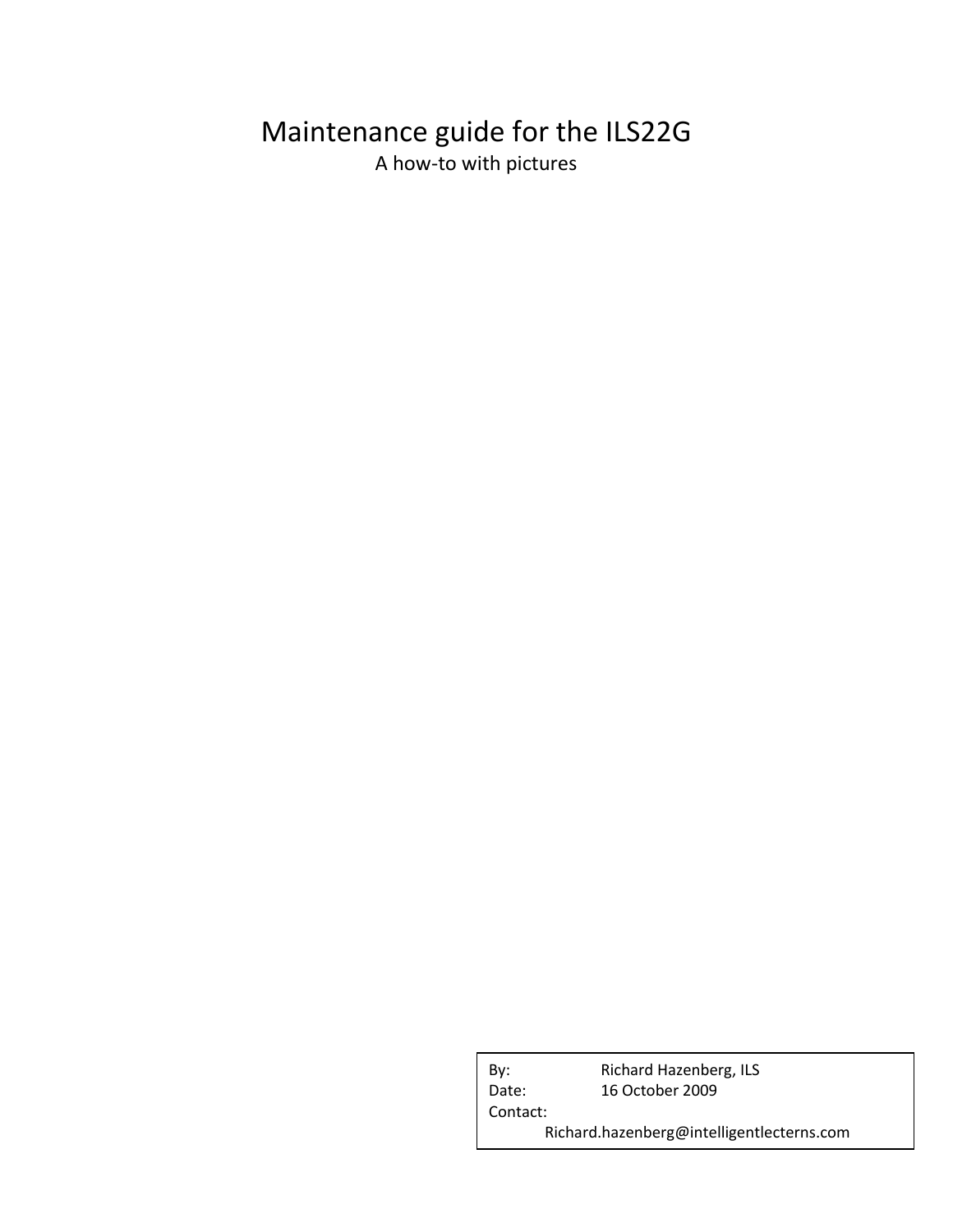# Maintenance guide for the ILS22G A how-to with pictures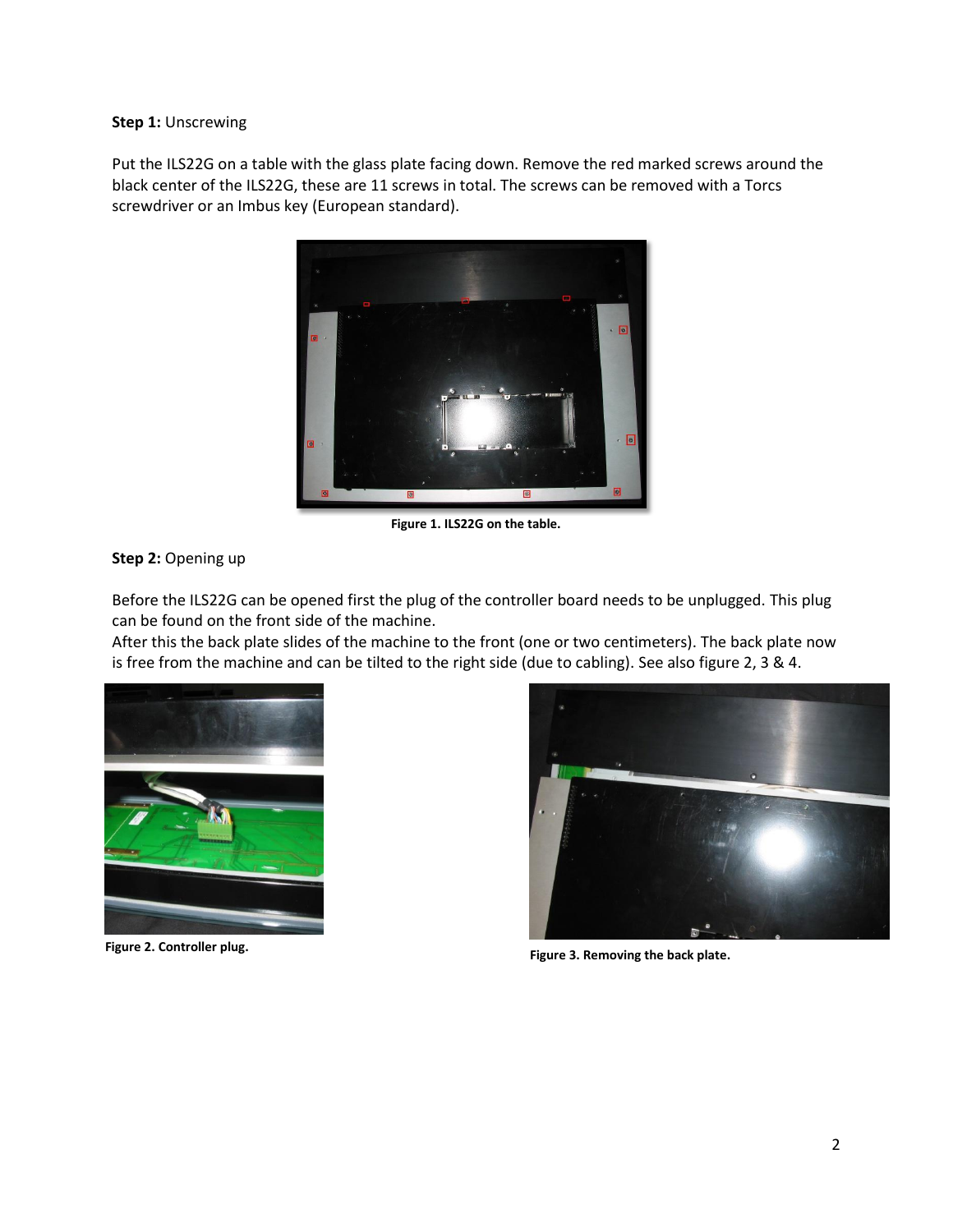#### **Step 1:** Unscrewing

Put the ILS22G on a table with the glass plate facing down. Remove the red marked screws around the black center of the ILS22G, these are 11 screws in total. The screws can be removed with a Torcs screwdriver or an Imbus key (European standard).



**Figure 1. ILS22G on the table.**

### **Step 2:** Opening up

Before the ILS22G can be opened first the plug of the controller board needs to be unplugged. This plug can be found on the front side of the machine.

After this the back plate slides of the machine to the front (one or two centimeters). The back plate now is free from the machine and can be tilted to the right side (due to cabling). See also figure 2, 3 & 4.





**Figure 3. Removing the back plate. Figure 2. Controller plug.**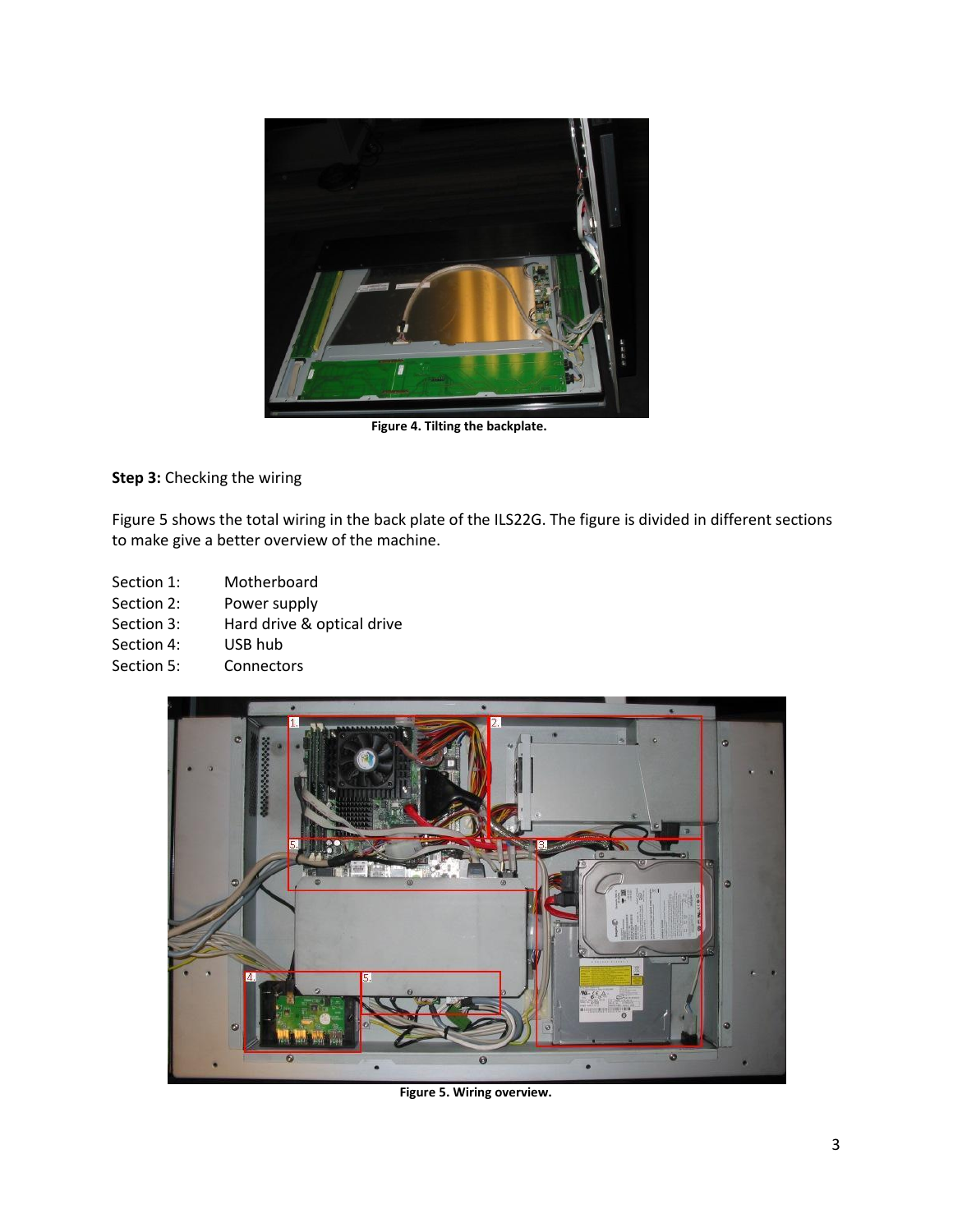

**Figure 4. Tilting the backplate.**

**Step 3:** Checking the wiring

Figure 5 shows the total wiring in the back plate of the ILS22G. The figure is divided in different sections to make give a better overview of the machine.

- Section 1: Motherboard
- Section 2: Power supply
- Section 3: Hard drive & optical drive<br>Section 4: USB hub
- Section 4:
- Section 5: Connectors



**Figure 5. Wiring overview.**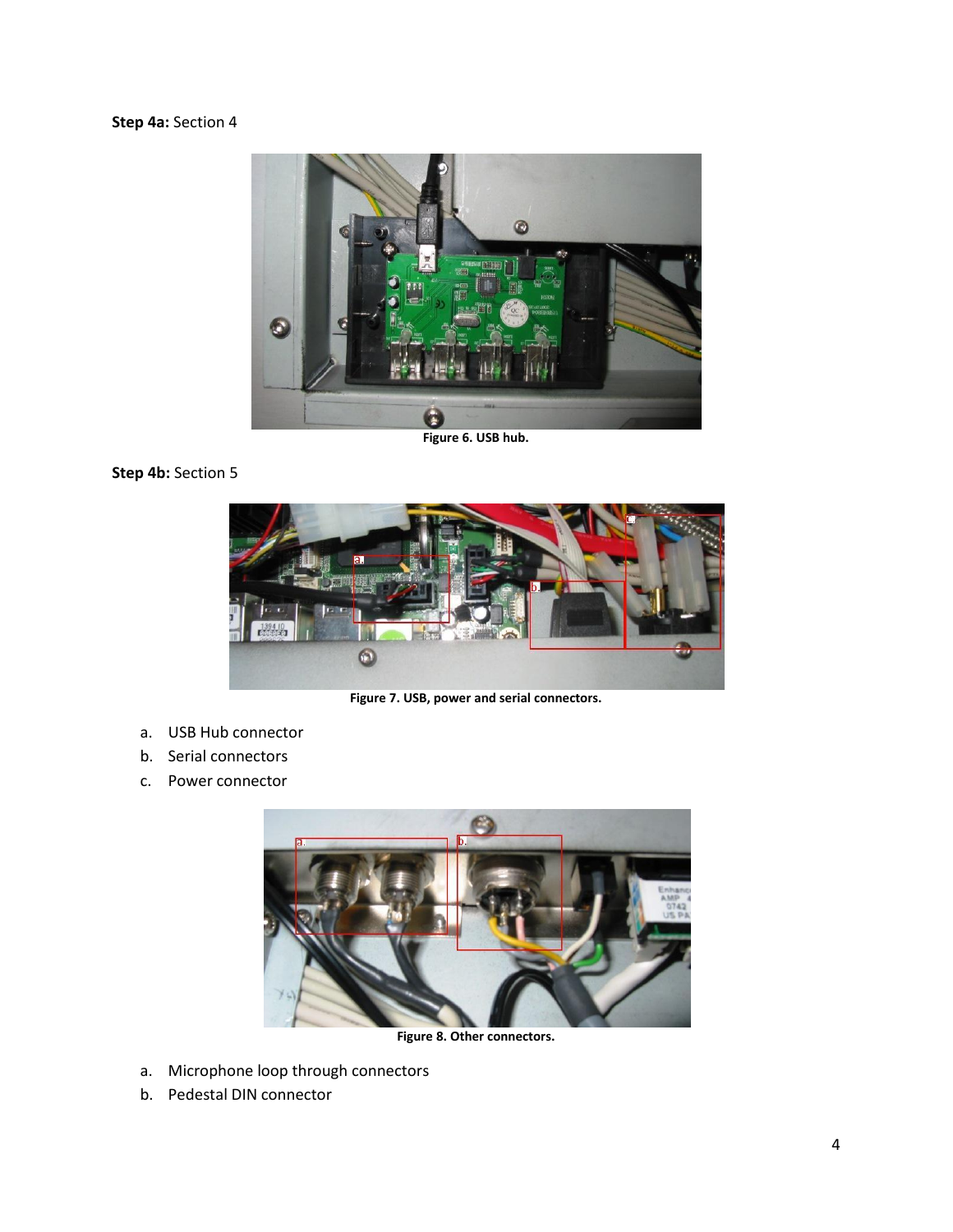## **Step 4a:** Section 4



**Figure 6. USB hub.**

## **Step 4b: Section 5**



**Figure 7. USB, power and serial connectors.**

- a. USB Hub connector
- b. Serial connectors
- c. Power connector



**Figure 8. Other connectors.**

- a. Microphone loop through connectors
- b. Pedestal DIN connector